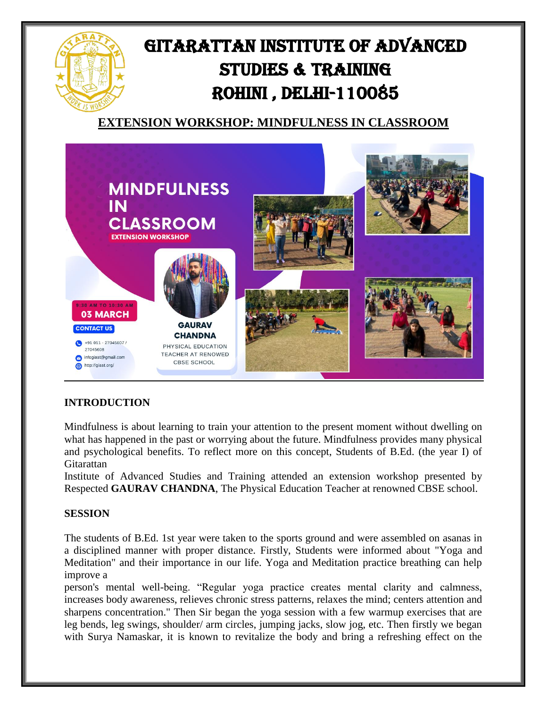



## **INTRODUCTION**

Mindfulness is about learning to train your attention to the present moment without dwelling on what has happened in the past or worrying about the future. Mindfulness provides many physical and psychological benefits. To reflect more on this concept, Students of B.Ed. (the year I) of **Gitarattan** 

Institute of Advanced Studies and Training attended an extension workshop presented by Respected **GAURAV CHANDNA**, The Physical Education Teacher at renowned CBSE school.

## **SESSION**

The students of B.Ed. 1st year were taken to the sports ground and were assembled on asanas in a disciplined manner with proper distance. Firstly, Students were informed about "Yoga and Meditation" and their importance in our life. Yoga and Meditation practice breathing can help improve a

person's mental well-being. "Regular yoga practice creates mental clarity and calmness, increases body awareness, relieves chronic stress patterns, relaxes the mind; centers attention and sharpens concentration." Then Sir began the yoga session with a few warmup exercises that are leg bends, leg swings, shoulder/ arm circles, jumping jacks, slow jog, etc. Then firstly we began with Surya Namaskar, it is known to revitalize the body and bring a refreshing effect on the